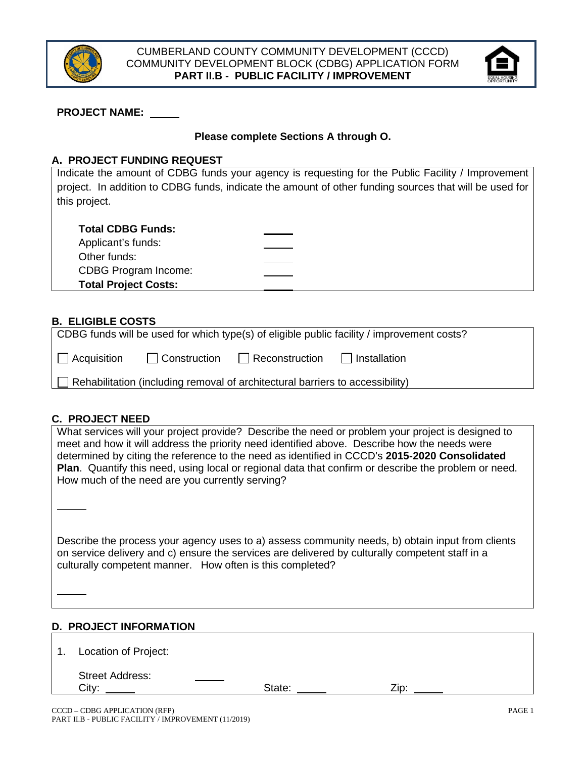



## **PROJECT NAME:**

## **Please complete Sections A through O.**

#### **A. PROJECT FUNDING REQUEST**

Indicate the amount of CDBG funds your agency is requesting for the Public Facility / Improvement project. In addition to CDBG funds, indicate the amount of other funding sources that will be used for this project.

|  |  | <b>Total CDBG Funds:</b> |  |
|--|--|--------------------------|--|
|  |  |                          |  |

| Applicant's funds:          |  |
|-----------------------------|--|
| Other funds:                |  |
| CDBG Program Income:        |  |
| <b>Total Project Costs:</b> |  |
|                             |  |

## **B. ELIGIBLE COSTS**

| CDBG funds will be used for which type(s) of eligible public facility / improvement costs? |              |                |              |  |
|--------------------------------------------------------------------------------------------|--------------|----------------|--------------|--|
| $\Box$ Acquisition                                                                         | Construction | Reconstruction | Installation |  |
| Rehabilitation (including removal of architectural barriers to accessibility)              |              |                |              |  |

## **C. PROJECT NEED**

| What services will your project provide? Describe the need or problem your project is designed to           |  |
|-------------------------------------------------------------------------------------------------------------|--|
| meet and how it will address the priority need identified above. Describe how the needs were                |  |
| determined by citing the reference to the need as identified in CCCD's 2015-2020 Consolidated               |  |
| <b>Plan.</b> Quantify this need, using local or regional data that confirm or describe the problem or need. |  |
| How much of the need are you currently serving?                                                             |  |

Describe the process your agency uses to a) assess community needs, b) obtain input from clients on service delivery and c) ensure the services are delivered by culturally competent staff in a culturally competent manner. How often is this completed?

## **D. PROJECT INFORMATION**

| 1. | Location of Project:            |        |      |  |
|----|---------------------------------|--------|------|--|
|    | <b>Street Address:</b><br>City: | State: | Zip: |  |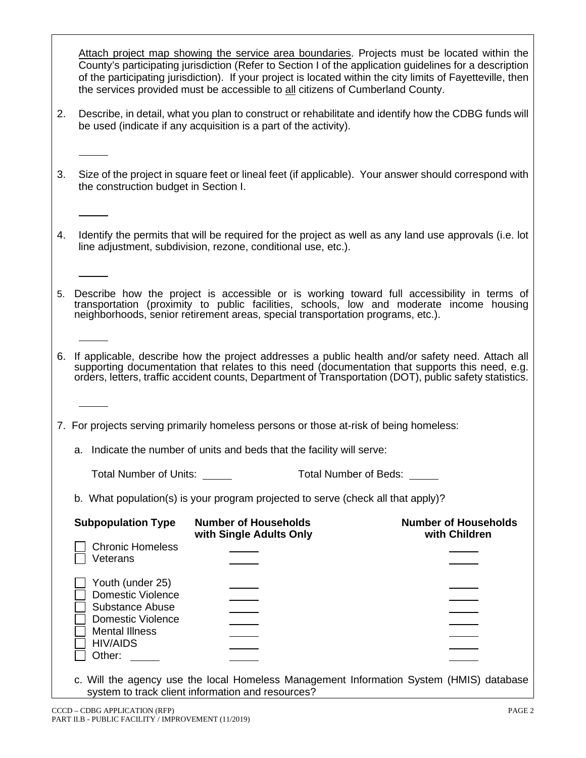Attach project map showing the service area boundaries. Projects must be located within the County's participating jurisdiction (Refer to Section I of the application guidelines for a description of the participating jurisdiction). If your project is located within the city limits of Fayetteville, then the services provided must be accessible to all citizens of Cumberland County.

- 2. Describe, in detail, what you plan to construct or rehabilitate and identify how the CDBG funds will be used (indicate if any acquisition is a part of the activity).
- 3. Size of the project in square feet or lineal feet (if applicable). Your answer should correspond with the construction budget in Section I.
- 4. Identify the permits that will be required for the project as well as any land use approvals (i.e. lot line adjustment, subdivision, rezone, conditional use, etc.).
- 5. Describe how the project is accessible or is working toward full accessibility in terms of transportation (proximity to public facilities, schools, low and moderate income housing neighborhoods, senior retirement areas, special transportation programs, etc.).
- 6. If applicable, describe how the project addresses a public health and/or safety need. Attach all orders, letters, traffic accident counts, Department of Transportation (DOT), public safety statistics.

7. For projects serving primarily homeless persons or those at-risk of being homeless:

a. Indicate the number of units and beds that the facility will serve:

| <b>Total Number of Units:</b> | Total Number of Beds: |
|-------------------------------|-----------------------|
|-------------------------------|-----------------------|

b. What population(s) is your program projected to serve (check all that apply)?

| <b>Subpopulation Type</b>                                                                                                           | <b>Number of Households</b><br>with Single Adults Only | <b>Number of Households</b><br>with Children                                            |
|-------------------------------------------------------------------------------------------------------------------------------------|--------------------------------------------------------|-----------------------------------------------------------------------------------------|
| <b>Chronic Homeless</b><br>Veterans                                                                                                 |                                                        |                                                                                         |
| Youth (under 25)<br><b>Domestic Violence</b><br>Substance Abuse<br>Domestic Violence<br><b>Mental Illness</b><br>HIV/AIDS<br>Other: |                                                        |                                                                                         |
|                                                                                                                                     | system to track client information and resources?      | c. Will the agency use the local Homeless Management Information System (HMIS) database |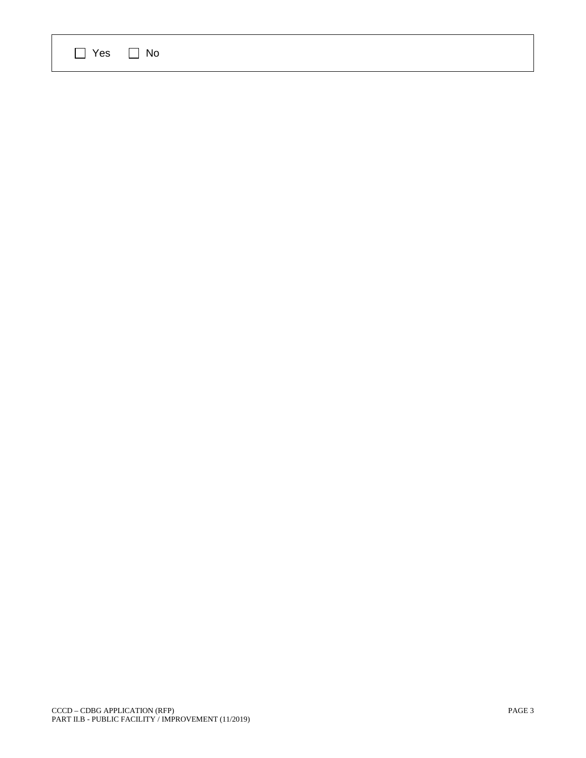| $\Box$ Yes $\Box$ No |  |  |
|----------------------|--|--|
|----------------------|--|--|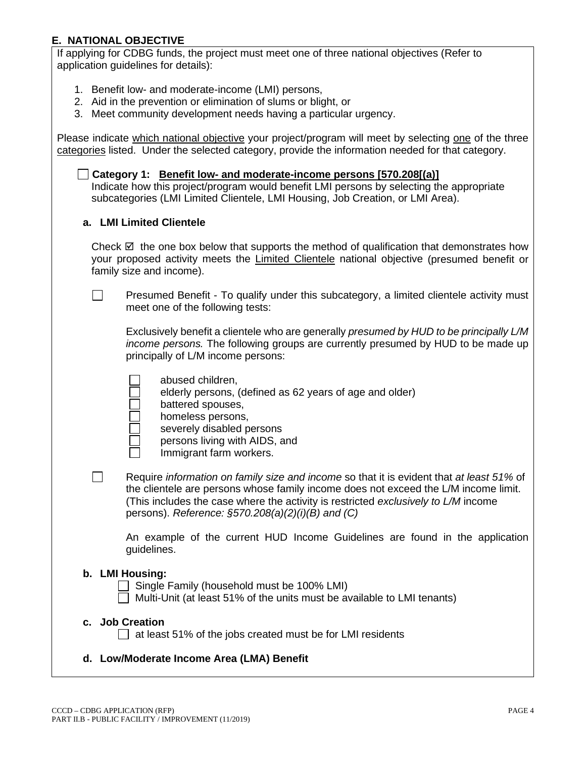## **E. NATIONAL OBJECTIVE**

If applying for CDBG funds, the project must meet one of three national objectives (Refer to application quidelines for details):

- 1. Benefit low- and moderate-income (LMI) persons,
- 2. Aid in the prevention or elimination of slums or blight, or
- 3. Meet community development needs having a particular urgency.

Please indicate which national objective your project/program will meet by selecting one of the three categories listed. Under the selected category, provide the information needed for that category.

**Category 1: Benefit low- and moderate-income persons [570.208[(a)]** Indicate how this project/program would benefit LMI persons by selecting the appropriate subcategories (LMI Limited Clientele, LMI Housing, Job Creation, or LMI Area).

#### **a. LMI Limited Clientele**

Check  $\boxtimes$  the one box below that supports the method of qualification that demonstrates how your proposed activity meets the Limited Clientele national objective (presumed benefit or family size and income).

Presumed Benefit - To qualify under this subcategory, a limited clientele activity must  $\Box$ meet one of the following tests:

Exclusively benefit a clientele who are generally *presumed by HUD to be principally L/M income persons.* The following groups are currently presumed by HUD to be made up principally of L/M income persons:

| .                                                       |  |  |
|---------------------------------------------------------|--|--|
| elderly persons, (defined as 62 years of age and older) |  |  |
|                                                         |  |  |

- battered spouses,
- homeless persons,

abused children,

- severely disabled persons
- persons living with AIDS, and
- Immigrant farm workers.
- П Require *information on family size and income* so that it is evident that *at least 51%* of the clientele are persons whose family income does not exceed the L/M income limit. (This includes the case where the activity is restricted *exclusively to L/M* income persons). *Reference: §570.208(a)(2)(i)(B) and (C)*

An example of the current HUD Income Guidelines are found in the application guidelines.

## **b. LMI Housing:**

 $\Box$  Single Family (household must be 100% LMI)

 $\Box$  Multi-Unit (at least 51% of the units must be available to LMI tenants)

#### **c. Job Creation**

 $\Box$  at least 51% of the jobs created must be for LMI residents

## **d. Low/Moderate Income Area (LMA) Benefit**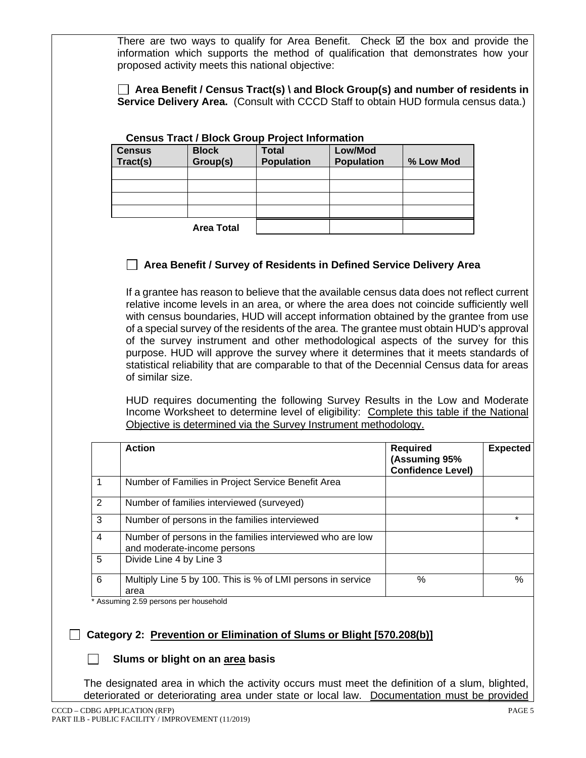There are two ways to qualify for Area Benefit. Check  $\boxtimes$  the box and provide the information which supports the method of qualification that demonstrates how your proposed activity meets this national objective:

 **Area Benefit / Census Tract(s) \ and Block Group(s) and number of residents in Service Delivery Area.** (Consult with CCCD Staff to obtain HUD formula census data.)

#### **Census Tract / Block Group Project Information Census Tract(s) Block Group(s) Total Population Low/Mod Population % Low Mod Area Total**

## **Area Benefit / Survey of Residents in Defined Service Delivery Area**

If a grantee has reason to believe that the available census data does not reflect current relative income levels in an area, or where the area does not coincide sufficiently well with census boundaries, HUD will accept information obtained by the grantee from use of a special survey of the residents of the area. The grantee must obtain HUD's approval of the survey instrument and other methodological aspects of the survey for this purpose. HUD will approve the survey where it determines that it meets standards of statistical reliability that are comparable to that of the Decennial Census data for areas of similar size.

HUD requires documenting the following Survey Results in the Low and Moderate Income Worksheet to determine level of eligibility: Complete this table if the National Objective is determined via the Survey Instrument methodology.

|   | <b>Action</b>                                                                            | <b>Required</b><br>(Assuming 95%<br><b>Confidence Level)</b> | <b>Expected</b> |
|---|------------------------------------------------------------------------------------------|--------------------------------------------------------------|-----------------|
|   | Number of Families in Project Service Benefit Area                                       |                                                              |                 |
| 2 | Number of families interviewed (surveyed)                                                |                                                              |                 |
| 3 | Number of persons in the families interviewed                                            |                                                              |                 |
| 4 | Number of persons in the families interviewed who are low<br>and moderate-income persons |                                                              |                 |
| 5 | Divide Line 4 by Line 3                                                                  |                                                              |                 |
| 6 | Multiply Line 5 by 100. This is % of LMI persons in service<br>area                      | $\%$                                                         | $\%$            |

\* Assuming 2.59 persons per household

## **Category 2: Prevention or Elimination of Slums or Blight [570.208(b)]**

## **Slums or blight on an area basis**

The designated area in which the activity occurs must meet the definition of a slum, blighted, deteriorated or deteriorating area under state or local law. Documentation must be provided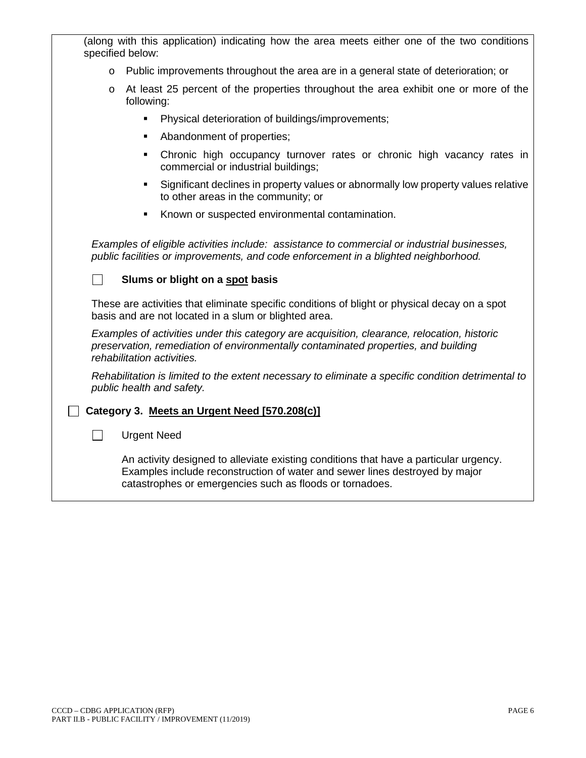| (along with this application) indicating how the area meets either one of the two conditions<br>specified below:                                                                                                                 |  |  |  |  |  |
|----------------------------------------------------------------------------------------------------------------------------------------------------------------------------------------------------------------------------------|--|--|--|--|--|
| Public improvements throughout the area are in a general state of deterioration; or<br>$\circ$                                                                                                                                   |  |  |  |  |  |
| At least 25 percent of the properties throughout the area exhibit one or more of the<br>O<br>following:                                                                                                                          |  |  |  |  |  |
| Physical deterioration of buildings/improvements;                                                                                                                                                                                |  |  |  |  |  |
| Abandonment of properties;<br>٠                                                                                                                                                                                                  |  |  |  |  |  |
| Chronic high occupancy turnover rates or chronic high vacancy rates in<br>٠<br>commercial or industrial buildings;                                                                                                               |  |  |  |  |  |
| Significant declines in property values or abnormally low property values relative<br>٠<br>to other areas in the community; or                                                                                                   |  |  |  |  |  |
| Known or suspected environmental contamination.                                                                                                                                                                                  |  |  |  |  |  |
| Examples of eligible activities include: assistance to commercial or industrial businesses,<br>public facilities or improvements, and code enforcement in a blighted neighborhood.<br>Slums or blight on a spot basis            |  |  |  |  |  |
| These are activities that eliminate specific conditions of blight or physical decay on a spot<br>basis and are not located in a slum or blighted area.                                                                           |  |  |  |  |  |
| Examples of activities under this category are acquisition, clearance, relocation, historic<br>preservation, remediation of environmentally contaminated properties, and building<br>rehabilitation activities.                  |  |  |  |  |  |
| Rehabilitation is limited to the extent necessary to eliminate a specific condition detrimental to<br>public health and safety.                                                                                                  |  |  |  |  |  |
| Category 3. Meets an Urgent Need [570.208(c)]                                                                                                                                                                                    |  |  |  |  |  |
| <b>Urgent Need</b>                                                                                                                                                                                                               |  |  |  |  |  |
| An activity designed to alleviate existing conditions that have a particular urgency.<br>Examples include reconstruction of water and sewer lines destroyed by major<br>catastrophes or emergencies such as floods or tornadoes. |  |  |  |  |  |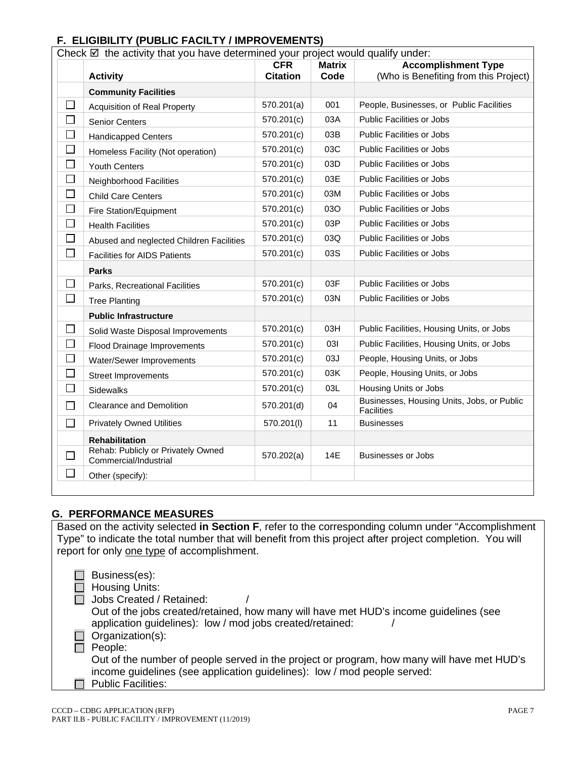## **F. ELIGIBILITY (PUBLIC FACILTY / IMPROVEMENTS)**

| Check $\boxtimes$ the activity that you have determined your project would qualify under: |                                                             |                 |               |                                                          |  |
|-------------------------------------------------------------------------------------------|-------------------------------------------------------------|-----------------|---------------|----------------------------------------------------------|--|
|                                                                                           |                                                             | <b>CFR</b>      | <b>Matrix</b> | <b>Accomplishment Type</b>                               |  |
|                                                                                           | <b>Activity</b>                                             | <b>Citation</b> | Code          | (Who is Benefiting from this Project)                    |  |
|                                                                                           | <b>Community Facilities</b>                                 |                 |               |                                                          |  |
| $\Box$                                                                                    | <b>Acquisition of Real Property</b>                         | 570.201(a)      | 001           | People, Businesses, or Public Facilities                 |  |
| $\Box$                                                                                    | Senior Centers                                              | 570.201(c)      | 03A           | <b>Public Facilities or Jobs</b>                         |  |
| $\Box$                                                                                    | <b>Handicapped Centers</b>                                  | 570.201(c)      | 03B           | <b>Public Facilities or Jobs</b>                         |  |
| $\Box$                                                                                    | Homeless Facility (Not operation)                           | 570.201(c)      | 03C           | <b>Public Facilities or Jobs</b>                         |  |
| $\Box$                                                                                    | <b>Youth Centers</b>                                        | 570.201(c)      | 03D           | <b>Public Facilities or Jobs</b>                         |  |
| $\Box$                                                                                    | Neighborhood Facilities                                     | 570.201(c)      | 03E           | Public Facilities or Jobs                                |  |
| $\Box$                                                                                    | <b>Child Care Centers</b>                                   | 570.201(c)      | 03M           | Public Facilities or Jobs                                |  |
| $\Box$                                                                                    | Fire Station/Equipment                                      | 570.201(c)      | 030           | Public Facilities or Jobs                                |  |
| □                                                                                         | <b>Health Facilities</b>                                    | 570.201(c)      | 03P           | <b>Public Facilities or Jobs</b>                         |  |
| $\Box$                                                                                    | Abused and neglected Children Facilities                    | 570.201(c)      | 03Q           | Public Facilities or Jobs                                |  |
| $\Box$                                                                                    | <b>Facilities for AIDS Patients</b>                         | 570.201(c)      | 03S           | <b>Public Facilities or Jobs</b>                         |  |
|                                                                                           | <b>Parks</b>                                                |                 |               |                                                          |  |
| $\Box$                                                                                    | Parks, Recreational Facilities                              | 570.201(c)      | 03F           | Public Facilities or Jobs                                |  |
| $\Box$                                                                                    | <b>Tree Planting</b>                                        | 570.201(c)      | 03N           | <b>Public Facilities or Jobs</b>                         |  |
|                                                                                           | <b>Public Infrastructure</b>                                |                 |               |                                                          |  |
| $\Box$                                                                                    | Solid Waste Disposal Improvements                           | 570.201(c)      | 03H           | Public Facilities, Housing Units, or Jobs                |  |
| $\Box$                                                                                    | Flood Drainage Improvements                                 | 570.201(c)      | 031           | Public Facilities, Housing Units, or Jobs                |  |
| $\Box$                                                                                    | Water/Sewer Improvements                                    | 570.201(c)      | 03J           | People, Housing Units, or Jobs                           |  |
| $\Box$                                                                                    | <b>Street Improvements</b>                                  | 570.201(c)      | 03K           | People, Housing Units, or Jobs                           |  |
| $\Box$                                                                                    | <b>Sidewalks</b>                                            | 570.201(c)      | 03L           | Housing Units or Jobs                                    |  |
| $\Box$                                                                                    | Clearance and Demolition                                    | 570.201(d)      | 04            | Businesses, Housing Units, Jobs, or Public<br>Facilities |  |
| $\Box$                                                                                    | <b>Privately Owned Utilities</b>                            | 570.201(l)      | 11            | <b>Businesses</b>                                        |  |
|                                                                                           | <b>Rehabilitation</b>                                       |                 |               |                                                          |  |
| $\Box$                                                                                    | Rehab: Publicly or Privately Owned<br>Commercial/Industrial | 570.202(a)      | 14E           | Businesses or Jobs                                       |  |
| $\Box$                                                                                    | Other (specify):                                            |                 |               |                                                          |  |

## **G. PERFORMANCE MEASURES**

Based on the activity selected **in Section F**, refer to the corresponding column under "Accomplishment Type" to indicate the total number that will benefit from this project after project completion. You will report for only one type of accomplishment.

| Business(es):<br><b>Housing Units:</b><br>Jobs Created / Retained:                                                                                                     |
|------------------------------------------------------------------------------------------------------------------------------------------------------------------------|
| Out of the jobs created/retained, how many will have met HUD's income guidelines (see<br>application guidelines): low / mod jobs created/retained:                     |
| Organization(s):                                                                                                                                                       |
| People:                                                                                                                                                                |
| Out of the number of people served in the project or program, how many will have met HUD's<br>income guidelines (see application guidelines): low / mod people served: |
| <b>Public Facilities:</b>                                                                                                                                              |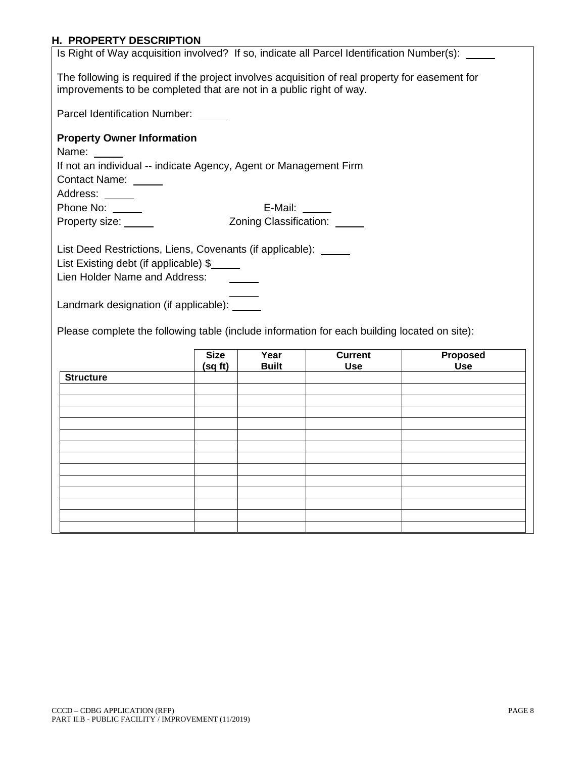# **H. PROPERTY DESCRIPTION**

| <u>n. Fruferi i desurifiiun</u><br>Is Right of Way acquisition involved? If so, indicate all Parcel Identification Number(s):                                                                                         |             |                              |                              |                        |  |
|-----------------------------------------------------------------------------------------------------------------------------------------------------------------------------------------------------------------------|-------------|------------------------------|------------------------------|------------------------|--|
| The following is required if the project involves acquisition of real property for easement for                                                                                                                       |             |                              |                              |                        |  |
| improvements to be completed that are not in a public right of way.                                                                                                                                                   |             |                              |                              |                        |  |
| Parcel Identification Number: _____                                                                                                                                                                                   |             |                              |                              |                        |  |
| <b>Property Owner Information</b>                                                                                                                                                                                     |             |                              |                              |                        |  |
| Name:                                                                                                                                                                                                                 |             |                              |                              |                        |  |
| If not an individual -- indicate Agency, Agent or Management Firm                                                                                                                                                     |             |                              |                              |                        |  |
| Contact Name: _____                                                                                                                                                                                                   |             |                              |                              |                        |  |
| Address: ______                                                                                                                                                                                                       |             |                              |                              |                        |  |
| Phone No: _____                                                                                                                                                                                                       |             | E-Mail: $\_\_$               |                              |                        |  |
| Property size: _____                                                                                                                                                                                                  |             | Zoning Classification: _____ |                              |                        |  |
|                                                                                                                                                                                                                       |             |                              |                              |                        |  |
| List Existing debt (if applicable) \$<br>Lien Holder Name and Address:<br>Landmark designation (if applicable): _____<br>Please complete the following table (include information for each building located on site): |             |                              |                              |                        |  |
|                                                                                                                                                                                                                       | <b>Size</b> | Year                         | <b>Current</b><br><b>Use</b> | Proposed<br><b>Use</b> |  |
| <b>Structure</b>                                                                                                                                                                                                      | (sq ft)     | <b>Built</b>                 |                              |                        |  |
|                                                                                                                                                                                                                       |             |                              |                              |                        |  |
|                                                                                                                                                                                                                       |             |                              |                              |                        |  |
|                                                                                                                                                                                                                       |             |                              |                              |                        |  |
|                                                                                                                                                                                                                       |             |                              |                              |                        |  |
|                                                                                                                                                                                                                       |             |                              |                              |                        |  |
|                                                                                                                                                                                                                       |             |                              |                              |                        |  |
|                                                                                                                                                                                                                       |             |                              |                              |                        |  |
|                                                                                                                                                                                                                       |             |                              |                              |                        |  |
|                                                                                                                                                                                                                       |             |                              |                              |                        |  |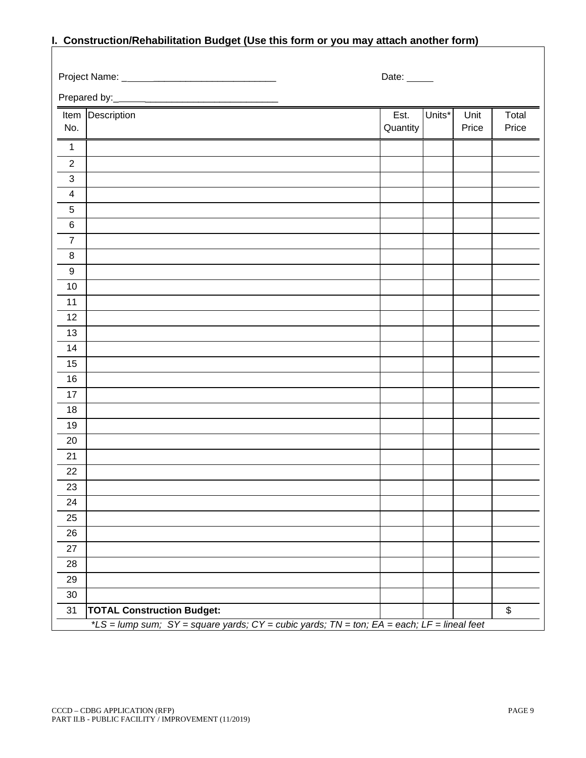|                         | <u>Conon action/richaemiation Baager (Coc this form of you may attach another form)</u>    |             |        |       |       |
|-------------------------|--------------------------------------------------------------------------------------------|-------------|--------|-------|-------|
|                         |                                                                                            | Date: _____ |        |       |       |
|                         |                                                                                            |             |        |       |       |
|                         | Item Description                                                                           | Est.        | Units* | Unit  | Total |
| No.                     |                                                                                            | Quantity    |        | Price | Price |
| $\mathbf 1$             |                                                                                            |             |        |       |       |
| $\overline{2}$          |                                                                                            |             |        |       |       |
| $\sqrt{3}$              |                                                                                            |             |        |       |       |
| $\overline{\mathbf{4}}$ |                                                                                            |             |        |       |       |
| $\sqrt{5}$              |                                                                                            |             |        |       |       |
| $\,6$                   |                                                                                            |             |        |       |       |
| $\boldsymbol{7}$        |                                                                                            |             |        |       |       |
| $\,8\,$                 |                                                                                            |             |        |       |       |
| $\boldsymbol{9}$        |                                                                                            |             |        |       |       |
| 10                      |                                                                                            |             |        |       |       |
| 11                      |                                                                                            |             |        |       |       |
| 12                      |                                                                                            |             |        |       |       |
| 13                      |                                                                                            |             |        |       |       |
| 14                      |                                                                                            |             |        |       |       |
| 15                      |                                                                                            |             |        |       |       |
| 16                      |                                                                                            |             |        |       |       |
| 17                      |                                                                                            |             |        |       |       |
| 18                      |                                                                                            |             |        |       |       |
| 19                      |                                                                                            |             |        |       |       |
| 20                      |                                                                                            |             |        |       |       |
| 21                      |                                                                                            |             |        |       |       |
| 22                      |                                                                                            |             |        |       |       |
| 23                      |                                                                                            |             |        |       |       |
| 24                      |                                                                                            |             |        |       |       |
| 25                      |                                                                                            |             |        |       |       |
| 26                      |                                                                                            |             |        |       |       |
| 27                      |                                                                                            |             |        |       |       |
| 28                      |                                                                                            |             |        |       |       |
| 29                      |                                                                                            |             |        |       |       |
| 30                      |                                                                                            |             |        |       |       |
| 31                      | <b>TOTAL Construction Budget:</b>                                                          |             |        |       | \$    |
|                         | *LS = lump sum; SY = square yards; CY = cubic yards; TN = ton; EA = each; LF = lineal feet |             |        |       |       |

# **I. Construction/Rehabilitation Budget (Use this form or you may attach another form)**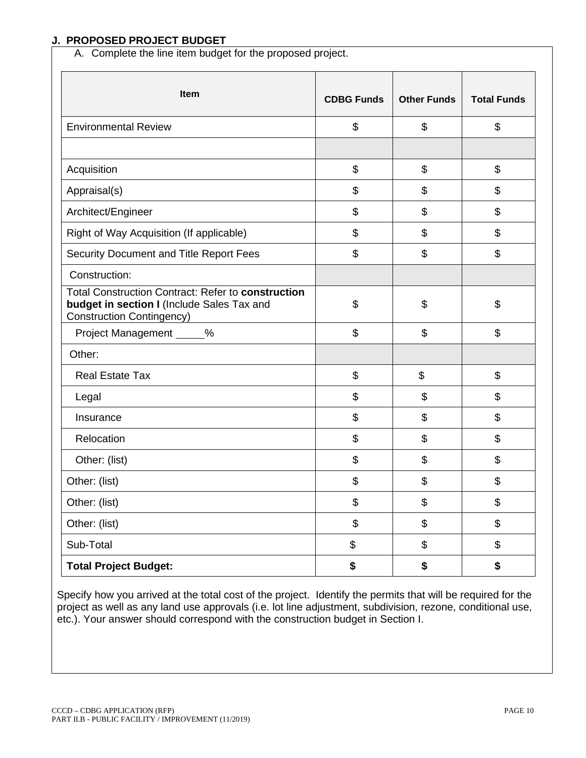#### **J. PROPOSED PROJECT BUDGET**

A. Complete the line item budget for the proposed project.

| Item                                                                                                                                 | <b>CDBG Funds</b> | <b>Other Funds</b>        | <b>Total Funds</b> |
|--------------------------------------------------------------------------------------------------------------------------------------|-------------------|---------------------------|--------------------|
| <b>Environmental Review</b>                                                                                                          | \$                | $\boldsymbol{\mathsf{S}}$ | \$                 |
| Acquisition                                                                                                                          | \$                | $\boldsymbol{\mathsf{S}}$ | \$                 |
| Appraisal(s)                                                                                                                         | \$                | \$                        | \$                 |
| Architect/Engineer                                                                                                                   | \$                | \$                        | \$                 |
| Right of Way Acquisition (If applicable)                                                                                             | \$                | \$                        | \$                 |
| Security Document and Title Report Fees                                                                                              | \$                | \$                        | \$                 |
| Construction:                                                                                                                        |                   |                           |                    |
| Total Construction Contract: Refer to construction<br>budget in section I (Include Sales Tax and<br><b>Construction Contingency)</b> | \$                | \$                        | \$                 |
| Project Management _____%                                                                                                            | \$                | \$                        | \$                 |
| Other:                                                                                                                               |                   |                           |                    |
| <b>Real Estate Tax</b>                                                                                                               | \$                | \$                        | \$                 |
| Legal                                                                                                                                | \$                | \$                        | \$                 |
| Insurance                                                                                                                            | \$                | \$                        | \$                 |
| Relocation                                                                                                                           | \$                | \$                        | \$                 |
| Other: (list)                                                                                                                        | \$                | \$                        | \$                 |
| Other: (list)                                                                                                                        | \$                | \$                        | \$                 |
| Other: (list)                                                                                                                        | \$                | $\, \, \$$                | \$                 |
| Other: (list)                                                                                                                        | \$                | \$                        | \$                 |
| Sub-Total                                                                                                                            | \$                | \$                        | \$                 |
| <b>Total Project Budget:</b>                                                                                                         | \$                | \$                        | \$                 |

Specify how you arrived at the total cost of the project. Identify the permits that will be required for the project as well as any land use approvals (i.e. lot line adjustment, subdivision, rezone, conditional use, etc.). Your answer should correspond with the construction budget in Section I.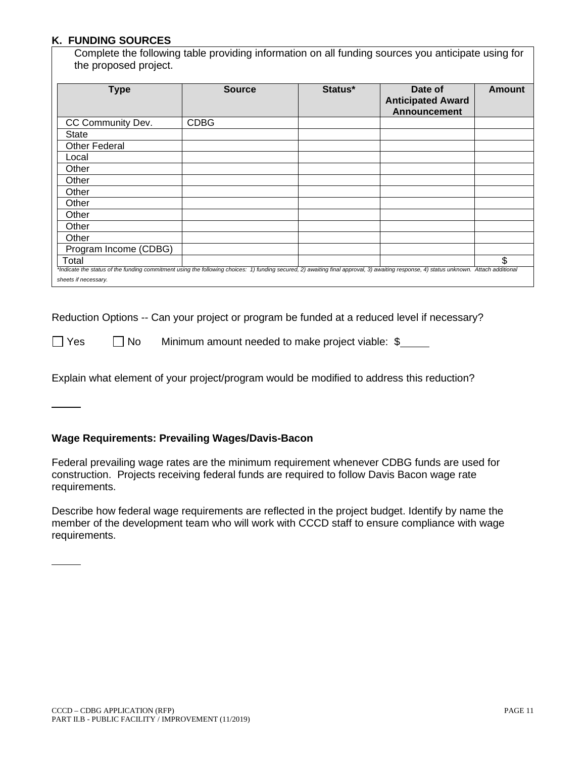#### **K. FUNDING SOURCES**

Complete the following table providing information on all funding sources you anticipate using for the proposed project.

| <b>Type</b>                                                                                                                                                                                                    | <b>Source</b> | Status* | Date of<br><b>Anticipated Award</b><br><b>Announcement</b> | <b>Amount</b> |
|----------------------------------------------------------------------------------------------------------------------------------------------------------------------------------------------------------------|---------------|---------|------------------------------------------------------------|---------------|
| CC Community Dev.                                                                                                                                                                                              | <b>CDBG</b>   |         |                                                            |               |
| State                                                                                                                                                                                                          |               |         |                                                            |               |
| <b>Other Federal</b>                                                                                                                                                                                           |               |         |                                                            |               |
| Local                                                                                                                                                                                                          |               |         |                                                            |               |
| Other                                                                                                                                                                                                          |               |         |                                                            |               |
| Other                                                                                                                                                                                                          |               |         |                                                            |               |
| Other                                                                                                                                                                                                          |               |         |                                                            |               |
| Other                                                                                                                                                                                                          |               |         |                                                            |               |
| Other                                                                                                                                                                                                          |               |         |                                                            |               |
| Other                                                                                                                                                                                                          |               |         |                                                            |               |
| Other                                                                                                                                                                                                          |               |         |                                                            |               |
| Program Income (CDBG)                                                                                                                                                                                          |               |         |                                                            |               |
| Total                                                                                                                                                                                                          |               |         |                                                            | \$            |
| *Indicate the status of the funding commitment using the following choices: 1) funding secured, 2) awaiting final approval, 3) awaiting response, 4) status unknown. Attach additional<br>sheets if necessary. |               |         |                                                            |               |

Reduction Options -- Can your project or program be funded at a reduced level if necessary?

 $\Box$  Yes  $\Box$  No Minimum amount needed to make project viable:  $\$\_\_\_\_\_\_\$ 

Explain what element of your project/program would be modified to address this reduction?

#### **Wage Requirements: Prevailing Wages/Davis-Bacon**

Federal prevailing wage rates are the minimum requirement whenever CDBG funds are used for construction. Projects receiving federal funds are required to follow Davis Bacon wage rate requirements.

Describe how federal wage requirements are reflected in the project budget. Identify by name the member of the development team who will work with CCCD staff to ensure compliance with wage requirements.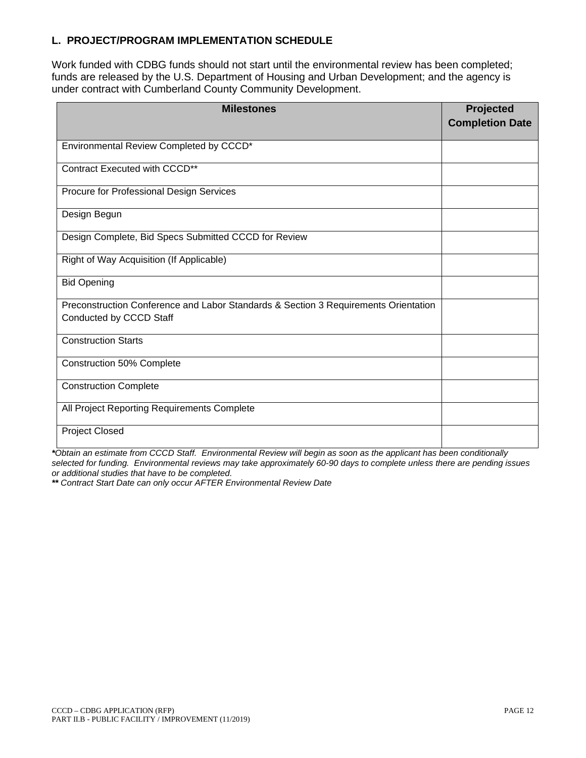## **L. PROJECT/PROGRAM IMPLEMENTATION SCHEDULE**

Work funded with CDBG funds should not start until the environmental review has been completed; funds are released by the U.S. Department of Housing and Urban Development; and the agency is under contract with Cumberland County Community Development.

| <b>Milestones</b>                                                                                              | Projected<br><b>Completion Date</b> |
|----------------------------------------------------------------------------------------------------------------|-------------------------------------|
| Environmental Review Completed by CCCD*                                                                        |                                     |
| Contract Executed with CCCD**                                                                                  |                                     |
| Procure for Professional Design Services                                                                       |                                     |
| Design Begun                                                                                                   |                                     |
| Design Complete, Bid Specs Submitted CCCD for Review                                                           |                                     |
| Right of Way Acquisition (If Applicable)                                                                       |                                     |
| <b>Bid Opening</b>                                                                                             |                                     |
| Preconstruction Conference and Labor Standards & Section 3 Requirements Orientation<br>Conducted by CCCD Staff |                                     |
| <b>Construction Starts</b>                                                                                     |                                     |
| <b>Construction 50% Complete</b>                                                                               |                                     |
| <b>Construction Complete</b>                                                                                   |                                     |
| All Project Reporting Requirements Complete                                                                    |                                     |
| <b>Project Closed</b>                                                                                          |                                     |

*\*Obtain an estimate from CCCD Staff. Environmental Review will begin as soon as the applicant has been conditionally selected for funding. Environmental reviews may take approximately 60-90 days to complete unless there are pending issues or additional studies that have to be completed.*

*\*\* Contract Start Date can only occur AFTER Environmental Review Date*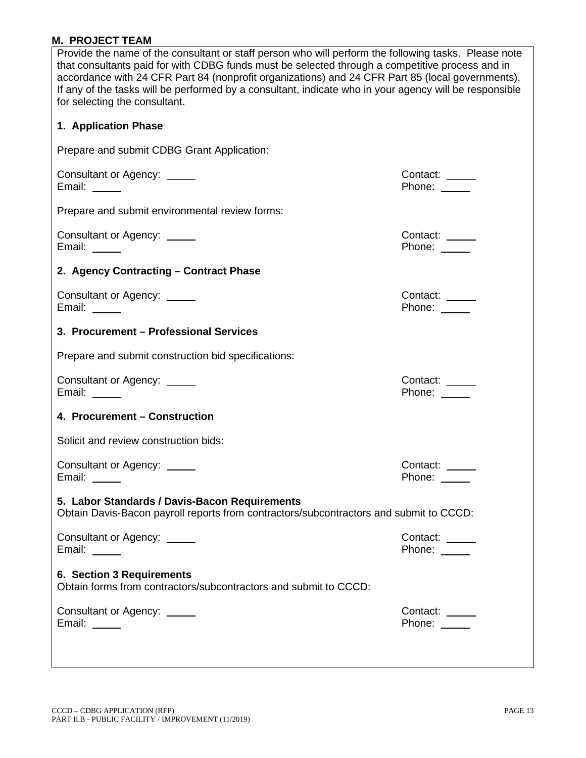# **M. PROJECT TEAM**

| Provide the name of the consultant or staff person who will perform the following tasks. Please note<br>that consultants paid for with CDBG funds must be selected through a competitive process and in<br>accordance with 24 CFR Part 84 (nonprofit organizations) and 24 CFR Part 85 (local governments).<br>If any of the tasks will be performed by a consultant, indicate who in your agency will be responsible<br>for selecting the consultant. |                                |  |  |  |  |
|--------------------------------------------------------------------------------------------------------------------------------------------------------------------------------------------------------------------------------------------------------------------------------------------------------------------------------------------------------------------------------------------------------------------------------------------------------|--------------------------------|--|--|--|--|
| 1. Application Phase                                                                                                                                                                                                                                                                                                                                                                                                                                   |                                |  |  |  |  |
| Prepare and submit CDBG Grant Application:                                                                                                                                                                                                                                                                                                                                                                                                             |                                |  |  |  |  |
| Consultant or Agency: _____<br>Email: $\frac{1}{\sqrt{1-\frac{1}{2}}}\right $                                                                                                                                                                                                                                                                                                                                                                          | Contact: _____<br>Phone:       |  |  |  |  |
| Prepare and submit environmental review forms:                                                                                                                                                                                                                                                                                                                                                                                                         |                                |  |  |  |  |
| Consultant or Agency: _____<br>Email: $\_\_\_\_\_\_\_\_\$                                                                                                                                                                                                                                                                                                                                                                                              | Contact:<br>Phone: _____       |  |  |  |  |
| 2. Agency Contracting - Contract Phase                                                                                                                                                                                                                                                                                                                                                                                                                 |                                |  |  |  |  |
| Consultant or Agency: _____<br>Email: $\_\_$                                                                                                                                                                                                                                                                                                                                                                                                           | Contact: _____<br>Phone: _____ |  |  |  |  |
| 3. Procurement - Professional Services                                                                                                                                                                                                                                                                                                                                                                                                                 |                                |  |  |  |  |
| Prepare and submit construction bid specifications:                                                                                                                                                                                                                                                                                                                                                                                                    |                                |  |  |  |  |
| Consultant or Agency: _____<br>Email: $\_\_\_\_\_\_\_\$                                                                                                                                                                                                                                                                                                                                                                                                | Contact: _____<br>Phone: _____ |  |  |  |  |
| 4. Procurement - Construction                                                                                                                                                                                                                                                                                                                                                                                                                          |                                |  |  |  |  |
| Solicit and review construction bids:                                                                                                                                                                                                                                                                                                                                                                                                                  |                                |  |  |  |  |
| Consultant or Agency: _____<br>Email: _____                                                                                                                                                                                                                                                                                                                                                                                                            | Contact:<br>Phone: _____       |  |  |  |  |
| 5. Labor Standards / Davis-Bacon Requirements<br>Obtain Davis-Bacon payroll reports from contractors/subcontractors and submit to CCCD:                                                                                                                                                                                                                                                                                                                |                                |  |  |  |  |
| Consultant or Agency: _____<br>Email: $\_\_\_\_\_\_\_\_\$                                                                                                                                                                                                                                                                                                                                                                                              | Contact: _____<br>Phone:       |  |  |  |  |
| 6. Section 3 Requirements<br>Obtain forms from contractors/subcontractors and submit to CCCD:                                                                                                                                                                                                                                                                                                                                                          |                                |  |  |  |  |
| Consultant or Agency: _____<br>Email: $\frac{1}{\sqrt{1-\frac{1}{2}}\sqrt{1-\frac{1}{2}}\sqrt{1-\frac{1}{2}}\sqrt{1-\frac{1}{2}}\sqrt{1-\frac{1}{2}}$                                                                                                                                                                                                                                                                                                  | Contact:<br>Phone: _____       |  |  |  |  |
|                                                                                                                                                                                                                                                                                                                                                                                                                                                        |                                |  |  |  |  |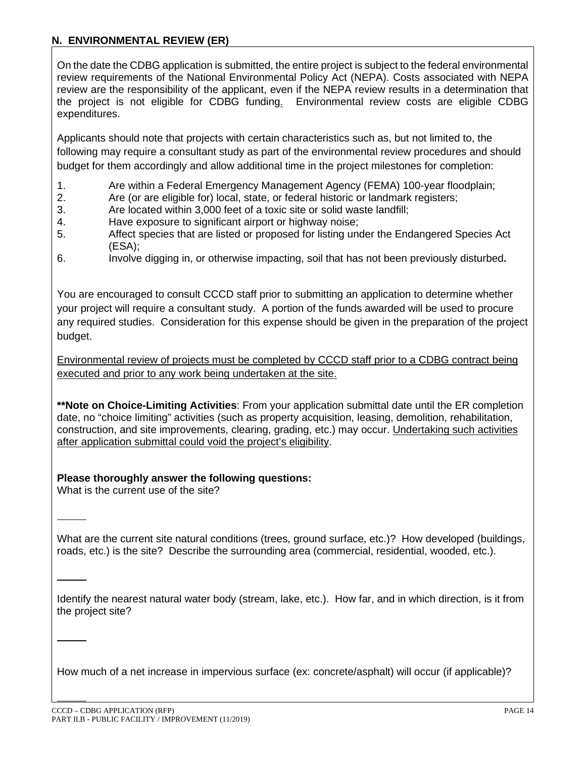## **N. ENVIRONMENTAL REVIEW (ER)**

On the date the CDBG application is submitted, the entire project is subject to the federal environmental review requirements of the National Environmental Policy Act (NEPA). Costs associated with NEPA review are the responsibility of the applicant, even if the NEPA review results in a determination that the project is not eligible for CDBG funding. Environmental review costs are eligible CDBG expenditures.

Applicants should note that projects with certain characteristics such as, but not limited to, the following may require a consultant study as part of the environmental review procedures and should budget for them accordingly and allow additional time in the project milestones for completion:

- 1. Are within a Federal Emergency Management Agency (FEMA) 100-year floodplain;<br>2. Are (or are eligible for) local, state, or federal historic or landmark registers:
- 2. Are (or are eligible for) local, state, or federal historic or landmark registers;
- 3. Are located within 3,000 feet of a toxic site or solid waste landfill;
- 4. Have exposure to significant airport or highway noise;
- 5. Affect species that are listed or proposed for listing under the Endangered Species Act (ESA);
- 6. Involve digging in, or otherwise impacting, soil that has not been previously disturbed**.**

You are encouraged to consult CCCD staff prior to submitting an application to determine whether your project will require a consultant study. A portion of the funds awarded will be used to procure any required studies. Consideration for this expense should be given in the preparation of the project budget.

Environmental review of projects must be completed by CCCD staff prior to a CDBG contract being executed and prior to any work being undertaken at the site.

**\*\*Note on Choice-Limiting Activities**: From your application submittal date until the ER completion date, no "choice limiting" activities (such as property acquisition, leasing, demolition, rehabilitation, construction, and site improvements, clearing, grading, etc.) may occur. Undertaking such activities after application submittal could void the project's eligibility.

## **Please thoroughly answer the following questions:**

What is the current use of the site?

What are the current site natural conditions (trees, ground surface, etc.)? How developed (buildings, roads, etc.) is the site? Describe the surrounding area (commercial, residential, wooded, etc.).

Identify the nearest natural water body (stream, lake, etc.). How far, and in which direction, is it from the project site?

How much of a net increase in impervious surface (ex: concrete/asphalt) will occur (if applicable)?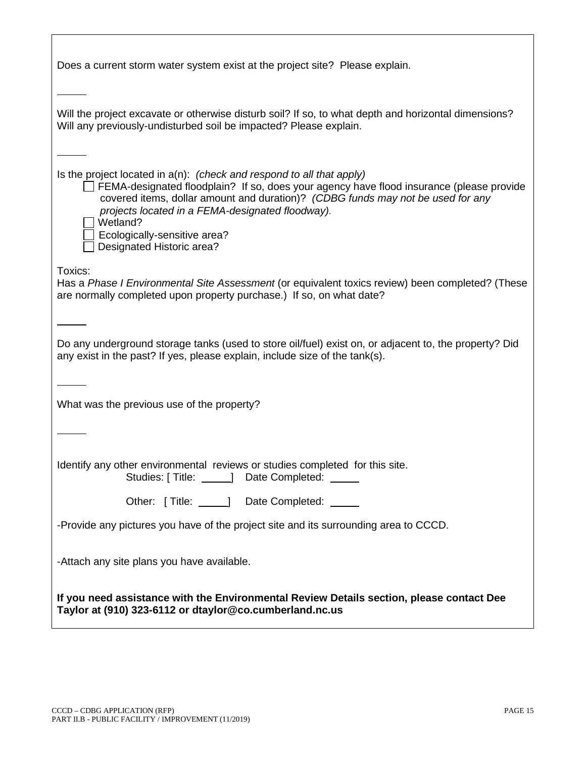| Does a current storm water system exist at the project site? Please explain.                                                                                                                                                                                                                                                                                                         |
|--------------------------------------------------------------------------------------------------------------------------------------------------------------------------------------------------------------------------------------------------------------------------------------------------------------------------------------------------------------------------------------|
| Will the project excavate or otherwise disturb soil? If so, to what depth and horizontal dimensions?<br>Will any previously-undisturbed soil be impacted? Please explain.                                                                                                                                                                                                            |
| Is the project located in $a(n)$ : (check and respond to all that apply)<br>FEMA-designated floodplain? If so, does your agency have flood insurance (please provide<br>covered items, dollar amount and duration)? (CDBG funds may not be used for any<br>projects located in a FEMA-designated floodway).<br>Wetland?<br>Ecologically-sensitive area?<br>Designated Historic area? |
| Toxics:<br>Has a Phase I Environmental Site Assessment (or equivalent toxics review) been completed? (These<br>are normally completed upon property purchase.) If so, on what date?                                                                                                                                                                                                  |
| Do any underground storage tanks (used to store oil/fuel) exist on, or adjacent to, the property? Did<br>any exist in the past? If yes, please explain, include size of the tank(s).                                                                                                                                                                                                 |
| What was the previous use of the property?                                                                                                                                                                                                                                                                                                                                           |
|                                                                                                                                                                                                                                                                                                                                                                                      |
| Identify any other environmental reviews or studies completed for this site.<br>Studies: [Title: 1990] Date Completed: 2009                                                                                                                                                                                                                                                          |
| Other: [Title: 1990] Date Completed:                                                                                                                                                                                                                                                                                                                                                 |
| -Provide any pictures you have of the project site and its surrounding area to CCCD.                                                                                                                                                                                                                                                                                                 |
| -Attach any site plans you have available.                                                                                                                                                                                                                                                                                                                                           |
| If you need assistance with the Environmental Review Details section, please contact Dee<br>Taylor at (910) 323-6112 or dtaylor@co.cumberland.nc.us                                                                                                                                                                                                                                  |

Г

٦